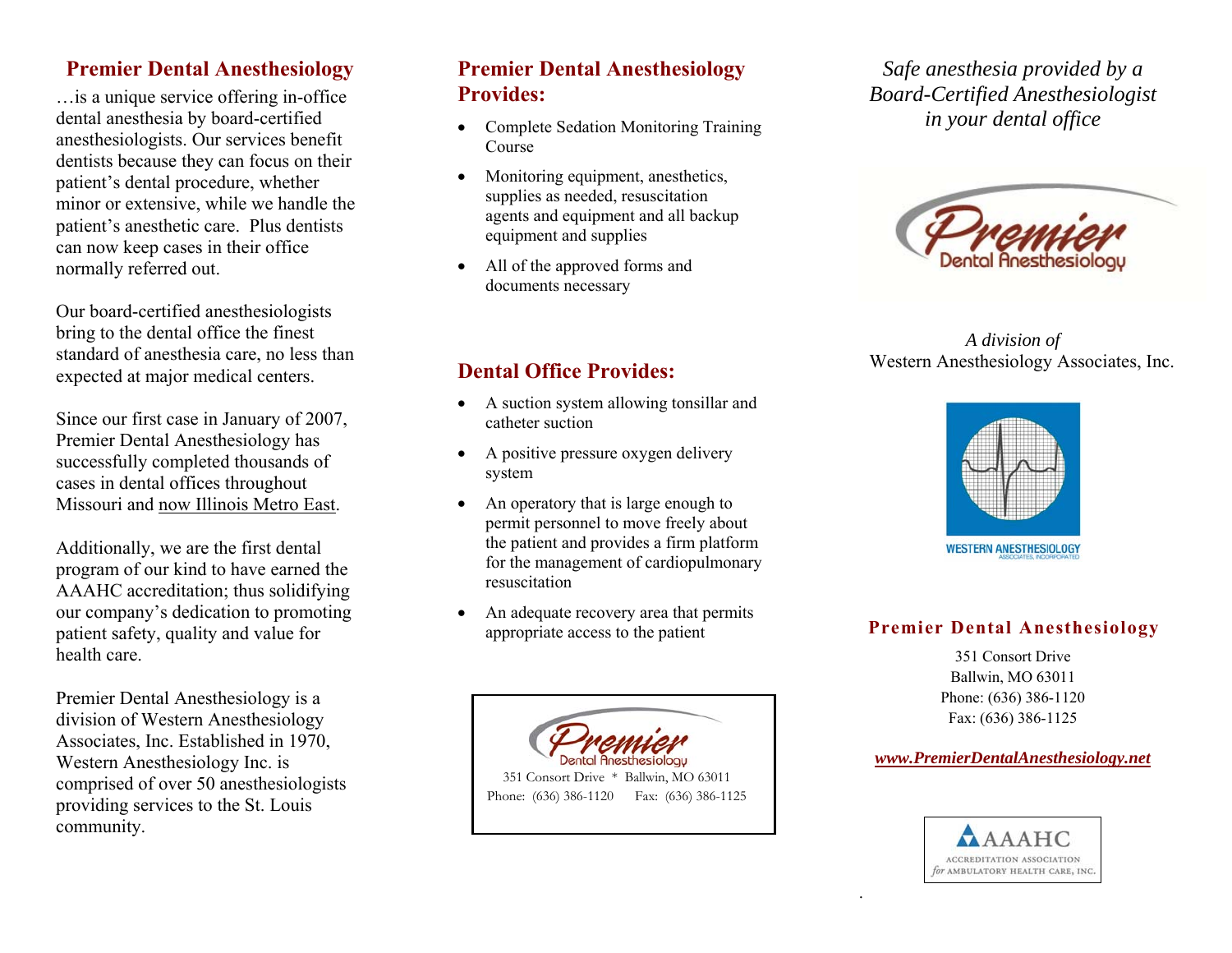### **Premier Dental Anesthesiology**

…is a unique service offering in-office dental anesthesia by board-certified anesthesiologists. Our services benefit dentists because they can focus on their patient's dental procedure, whether minor or extensive, while we handle the patient's anesthetic care. Plus dentists can now keep cases in their office normally referred out.

Our board-certified anesthesiologists bring to the dental office the finest standard of anesthesia care, no less than expected at major medical centers.

Since our first case in January of 2007, Premier Dental Anesthesiology has successfully completed thousands of cases in dental offices throughout Missouri and now Illinois Metro East.

Additionally, we are the first dental program of our kind to have earned the AAAHC accreditation; thus solidifying our company's dedication to promoting patient safety, quality and value for health care.

Premier Dental Anesthesiology is a division of Western Anesthesiology Associates, Inc. Established in 1970, Western Anesthesiology Inc. is comprised of over 50 anesthesiologists providing services to the St. Louis community.

## **Premier Dental Anesthesiology Provides:**

- Complete Sedation Monitoring Training Course
- . Monitoring equipment, anesthetics, supplies as needed, resuscitation agents and equipment and all backup equipment and supplies
- All of the approved forms and documents necessary

*Safe anesthesia provided by a Board-Certified Anesthesiologist in your dental office* 



*A division of*  Western Anesthesiology Associates, Inc.

# **Dental Office Provides:**

- A suction system allowing tonsillar and catheter suction
- $\bullet$  A positive pressure oxygen delivery system
- . An operatory that is large enough to permit personnel to move freely about the patient and provides a firm platform for the management of cardiopulmonary resuscitation
- . An adequate recovery area that permits appropriate access to the patient





#### **Premier Dental Anesthesiology**

351 Consort Drive Ballwin, MO 63011 Phone: (636) 386-1120 Fax: (636) 386-1125

#### *www.PremierDentalAnesthesiology.net*



.